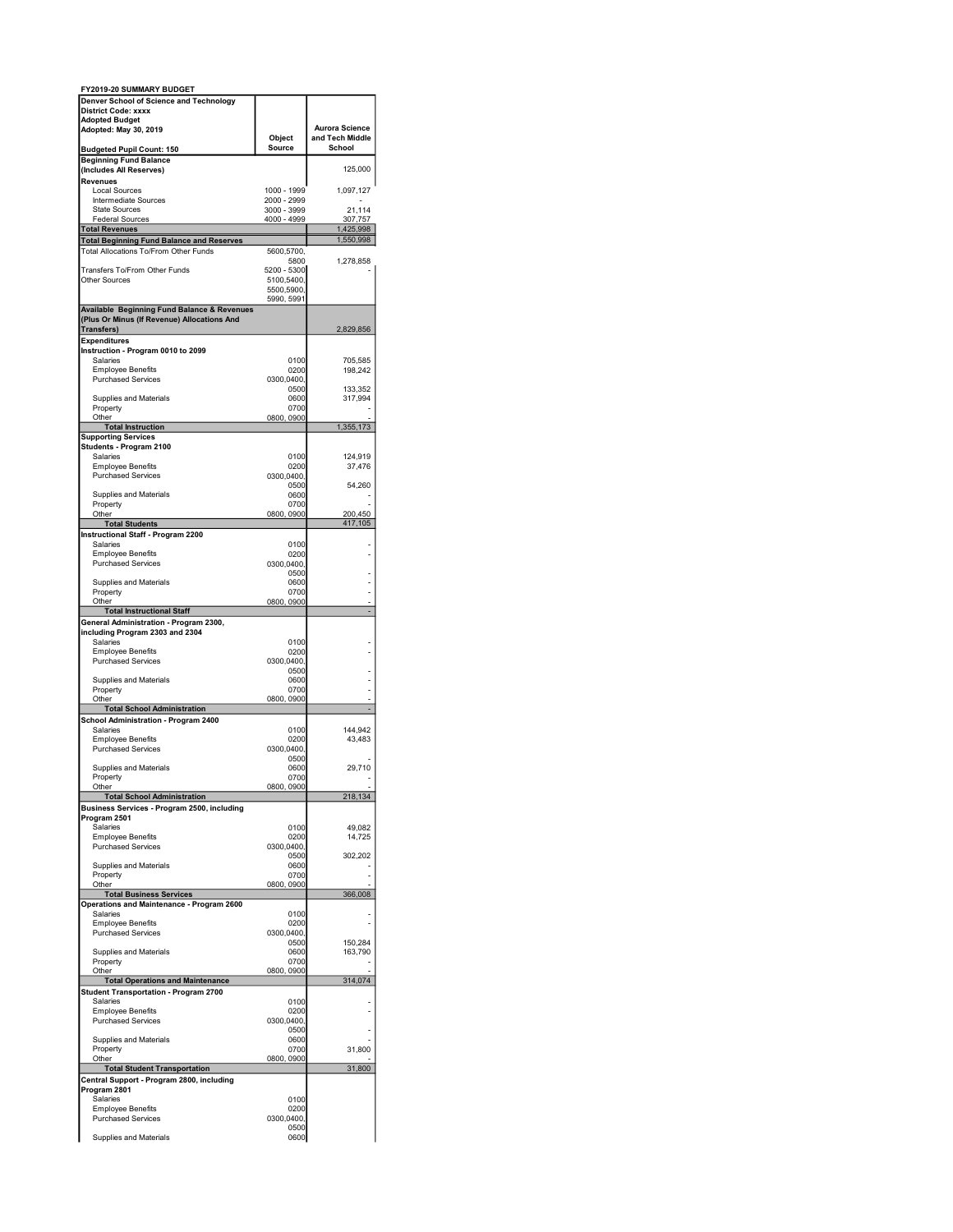| FY2019-20 SUMMARY BUDGET                                                          |                            |                           |
|-----------------------------------------------------------------------------------|----------------------------|---------------------------|
| Denver School of Science and Technology                                           |                            |                           |
| <b>District Code: xxxx</b><br><b>Adopted Budget</b>                               |                            |                           |
| Adopted: May 30, 2019                                                             |                            | <b>Aurora Science</b>     |
| <b>Budgeted Pupil Count: 150</b>                                                  | Object<br>Source           | and Tech Middle<br>School |
| <b>Beginning Fund Balance</b>                                                     |                            |                           |
| (Includes All Reserves)                                                           |                            | 125,000                   |
| Revenues<br><b>Local Sources</b>                                                  | 1000 - 1999                | 1,097,127                 |
| Intermediate Sources                                                              | 2000 - 2999                |                           |
| <b>State Sources</b><br><b>Federal Sources</b>                                    | 3000 - 3999<br>4000 - 4999 | 21,114<br>307,757         |
| <b>Total Revenues</b>                                                             |                            | 1,425,998                 |
| <b>Total Beginning Fund Balance and Reserves</b>                                  |                            | 1,550,998                 |
| Total Allocations To/From Other Funds                                             | 5600,5700,<br>5800         | 1,278,858                 |
| Transfers To/From Other Funds                                                     | 5200 - 5300                |                           |
| <b>Other Sources</b>                                                              | 5100,5400,<br>5500,5900,   |                           |
|                                                                                   | 5990, 5991                 |                           |
| Available Beginning Fund Balance & Revenues                                       |                            |                           |
| (Plus Or Minus (If Revenue) Allocations And<br>Transfers)                         |                            | 2,829,856                 |
| <b>Expenditures</b>                                                               |                            |                           |
| Instruction - Program 0010 to 2099<br><b>Salaries</b>                             | 0100                       | 705,585                   |
| <b>Employee Benefits</b>                                                          | 0200                       | 198,242                   |
| <b>Purchased Services</b>                                                         | 0300,0400,                 |                           |
| Supplies and Materials                                                            | 0500<br>0600               | 133,352<br>317,994        |
| Property                                                                          | 0700                       |                           |
| Other<br><b>Total Instruction</b>                                                 | 0800, 0900                 | 1,355,173                 |
| <b>Supporting Services</b>                                                        |                            |                           |
| Students - Program 2100<br>Salaries                                               | 0100                       | 124,919                   |
| <b>Employee Benefits</b>                                                          | 0200                       | 37,476                    |
| <b>Purchased Services</b>                                                         | 0300,0400,<br>0500         | 54,260                    |
| Supplies and Materials                                                            | 0600                       |                           |
| Property<br>Other                                                                 | 0700<br>0800, 0900         | 200,450                   |
| <b>Total Students</b>                                                             |                            | 417,105                   |
| <b>Instructional Staff - Program 2200</b>                                         |                            |                           |
| Salaries<br><b>Employee Benefits</b>                                              | 0100<br>0200               |                           |
| <b>Purchased Services</b>                                                         | 0300,0400,                 |                           |
| <b>Supplies and Materials</b>                                                     | 0500<br>0600               |                           |
| Property                                                                          | 0700                       |                           |
| Other<br><b>Total Instructional Staff</b>                                         | 0800, 0900                 |                           |
| General Administration - Program 2300,                                            |                            |                           |
| including Program 2303 and 2304                                                   | 0100                       |                           |
| Salaries<br><b>Employee Benefits</b>                                              | 0200                       |                           |
| <b>Purchased Services</b>                                                         | 0300,0400,                 |                           |
| Supplies and Materials                                                            | 0500<br>0600               |                           |
| Property                                                                          | 0700                       |                           |
| Other<br><b>Total School Administration</b>                                       | 0800, 0900                 |                           |
| School Administration - Program 2400                                              |                            |                           |
| Salaries<br><b>Employee Benefits</b>                                              | 0100<br>0200               | 144,942<br>43,483         |
| <b>Purchased Services</b>                                                         | 0300,0400,                 |                           |
| <b>Supplies and Materials</b>                                                     | 0500<br>0600               | 29,710                    |
| Property                                                                          | 0700                       |                           |
| Other                                                                             | 0800, 0900                 | 218,134                   |
| <b>Total School Administration</b><br>Business Services - Program 2500, including |                            |                           |
| Program 2501                                                                      |                            |                           |
| Salaries<br><b>Employee Benefits</b>                                              | 0100<br>0200               | 49,082<br>14,725          |
| <b>Purchased Services</b>                                                         | 0300,0400,                 |                           |
| <b>Supplies and Materials</b>                                                     | 0500<br>0600               | 302,202                   |
| Property                                                                          | 0700                       |                           |
| Other<br><b>Total Business Services</b>                                           | 0800, 0900                 | 366,008                   |
| Operations and Maintenance - Program 2600                                         |                            |                           |
| Salaries<br><b>Employee Benefits</b>                                              | 0100<br>0200               |                           |
| <b>Purchased Services</b>                                                         | 0300,0400                  |                           |
| <b>Supplies and Materials</b>                                                     | 0500<br>0600               | 150,284<br>163,790        |
| Property                                                                          | 0700                       |                           |
| Other<br><b>Total Operations and Maintenance</b>                                  | 0800, 0900                 | 314,074                   |
| <b>Student Transportation - Program 2700</b>                                      |                            |                           |
| Salaries                                                                          | 0100                       |                           |
| <b>Employee Benefits</b><br><b>Purchased Services</b>                             | 0200<br>0300,0400,         |                           |
|                                                                                   | 0500                       |                           |
| Supplies and Materials<br>Property                                                | 0600<br>0700               | 31,800                    |
| Other                                                                             | 0800, 0900                 |                           |
| <b>Total Student Transportation</b><br>Central Support - Program 2800, including  |                            | 31,800                    |
| Program 2801                                                                      |                            |                           |
| Salaries                                                                          | 0100                       |                           |
| <b>Employee Benefits</b><br><b>Purchased Services</b>                             | 0200<br>0300,0400,         |                           |
|                                                                                   | 0500                       |                           |
| Supplies and Materials                                                            | 0600                       |                           |